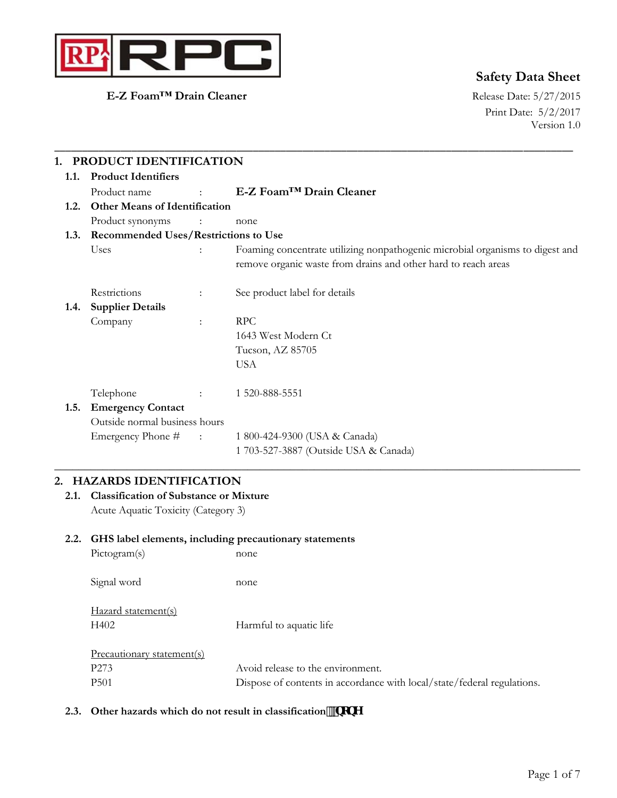

**E-Z Foam™ Drain Cleaner** Release Date: 5/27/2015

# **Safety Data Sheet**

Print Date: 5/2/2017 Version 1.0

| 1.1. | 1. PRODUCT IDENTIFICATION<br><b>Product Identifiers</b> |                                             |                                                                                                                                                 |  |  |
|------|---------------------------------------------------------|---------------------------------------------|-------------------------------------------------------------------------------------------------------------------------------------------------|--|--|
|      | Product name                                            | $\mathbb{R}^{\mathbb{Z}}$                   | E-Z Foam <sup>™</sup> Drain Cleaner                                                                                                             |  |  |
| 1.2. | <b>Other Means of Identification</b>                    |                                             |                                                                                                                                                 |  |  |
|      | Product synonyms                                        | $\sim$ $\sim$ $\sim$                        | none                                                                                                                                            |  |  |
| 1.3. |                                                         | <b>Recommended Uses/Restrictions to Use</b> |                                                                                                                                                 |  |  |
|      | Uses                                                    |                                             | Foaming concentrate utilizing nonpathogenic microbial organisms to digest and<br>remove organic waste from drains and other hard to reach areas |  |  |
|      | Restrictions                                            | ÷                                           | See product label for details                                                                                                                   |  |  |
| 1.4. | <b>Supplier Details</b>                                 |                                             |                                                                                                                                                 |  |  |
|      | Company                                                 | $\ddot{\phantom{a}}$                        | <b>RPC</b>                                                                                                                                      |  |  |
|      |                                                         |                                             | 1643 West Modern Ct                                                                                                                             |  |  |
|      |                                                         |                                             | Tucson, AZ 85705                                                                                                                                |  |  |
|      |                                                         |                                             | <b>USA</b>                                                                                                                                      |  |  |
|      | Telephone                                               |                                             | 1 520-888-5551                                                                                                                                  |  |  |
| 1.5. | <b>Emergency Contact</b>                                |                                             |                                                                                                                                                 |  |  |
|      | Outside normal business hours                           |                                             |                                                                                                                                                 |  |  |
|      | Emergency Phone # :                                     |                                             | 1 800-424-9300 (USA & Canada)                                                                                                                   |  |  |
|      |                                                         |                                             | 1 703-527-3887 (Outside USA & Canada)                                                                                                           |  |  |

# **2. HAZARDS IDENTIFICATION**

**2.1. Classification of Substance or Mixture**  Acute Aquatic Toxicity (Category 3)

#### **2.2. GHS label elements, including precautionary statements**

| Pictogram(s)               | none                                                                    |
|----------------------------|-------------------------------------------------------------------------|
| Signal word                | none                                                                    |
| Hazard statement(s)        |                                                                         |
| H402                       | Harmful to aquatic life                                                 |
| Precautionary statement(s) |                                                                         |
| P <sub>273</sub>           | Avoid release to the environment.                                       |
| P <sub>501</sub>           | Dispose of contents in accordance with local/state/federal regulations. |
|                            |                                                                         |

#### 2.3. Other hazards which do not result in classification<sup>!</sup> bcbY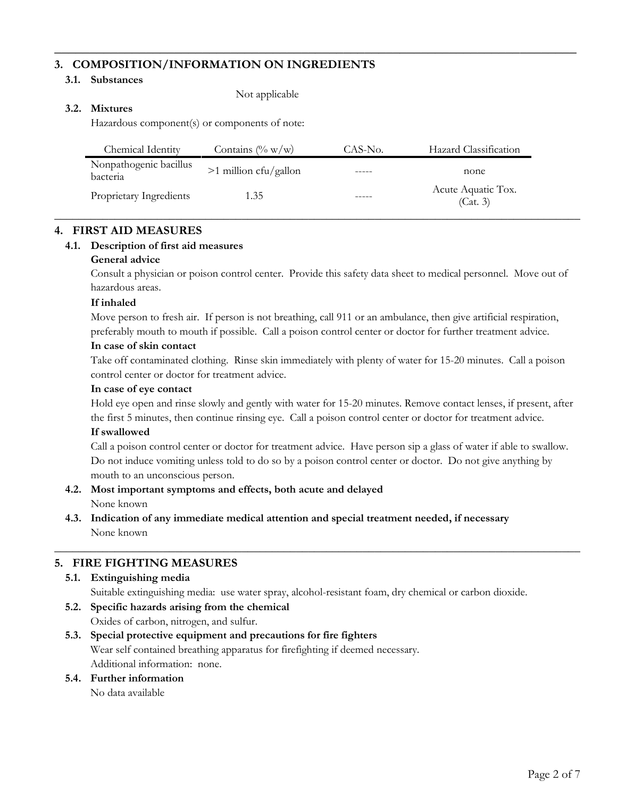# **3. COMPOSITION/INFORMATION ON INGREDIENTS**

#### **3.1. Substances**

Not applicable

## **3.2. Mixtures**

Hazardous component(s) or components of note:

| Chemical Identity                  | Contains $(\% w/w)$     | CAS-No. | Hazard Classification          |
|------------------------------------|-------------------------|---------|--------------------------------|
| Nonpathogenic bacillus<br>bacteria | $>1$ million cfu/gallon |         | none                           |
| Proprietary Ingredients            | 1.35                    |         | Acute Aquatic Tox.<br>(Cat. 3) |

\_\_\_\_\_\_\_\_\_\_\_\_\_\_\_\_\_\_\_\_\_\_\_\_\_\_\_\_\_\_\_\_\_\_\_\_\_\_\_\_\_\_\_\_\_\_\_\_\_\_\_\_\_\_\_\_\_\_\_\_\_\_\_\_\_\_\_\_\_\_\_\_\_\_\_\_\_\_\_\_\_\_\_\_\_\_\_

**\_\_\_\_\_\_\_\_\_\_\_\_\_\_\_\_\_\_\_\_\_\_\_\_\_\_\_\_\_\_\_\_\_\_\_\_\_\_\_\_\_\_\_\_\_\_\_\_\_\_\_\_\_\_\_\_\_\_\_\_\_\_\_\_\_\_\_\_\_\_\_\_\_\_** 

## **4. FIRST AID MEASURES**

#### **4.1. Description of first aid measures**

#### **General advice**

Consult a physician or poison control center. Provide this safety data sheet to medical personnel. Move out of hazardous areas.

#### **If inhaled**

Move person to fresh air. If person is not breathing, call 911 or an ambulance, then give artificial respiration, preferably mouth to mouth if possible. Call a poison control center or doctor for further treatment advice.

#### **In case of skin contact**

Take off contaminated clothing. Rinse skin immediately with plenty of water for 15-20 minutes. Call a poison control center or doctor for treatment advice.

#### **In case of eye contact**

Hold eye open and rinse slowly and gently with water for 15-20 minutes. Remove contact lenses, if present, after the first 5 minutes, then continue rinsing eye. Call a poison control center or doctor for treatment advice. **If swallowed** 

Call a poison control center or doctor for treatment advice. Have person sip a glass of water if able to swallow. Do not induce vomiting unless told to do so by a poison control center or doctor. Do not give anything by mouth to an unconscious person.

- **4.2. Most important symptoms and effects, both acute and delayed**  None known
- **4.3. Indication of any immediate medical attention and special treatment needed, if necessary**  None known

# **5. FIRE FIGHTING MEASURES**

#### **5.1. Extinguishing media**

Suitable extinguishing media: use water spray, alcohol-resistant foam, dry chemical or carbon dioxide.

\_\_\_\_\_\_\_\_\_\_\_\_\_\_\_\_\_\_\_\_\_\_\_\_\_\_\_\_\_\_\_\_\_\_\_\_\_\_\_\_\_\_\_\_\_\_\_\_\_\_\_\_\_\_\_\_\_\_\_\_\_\_\_\_\_\_\_\_\_\_\_\_\_\_\_\_\_\_\_\_\_\_\_\_\_\_\_

**5.2. Specific hazards arising from the chemical**  Oxides of carbon, nitrogen, and sulfur.

# **5.3. Special protective equipment and precautions for fire fighters**  Wear self contained breathing apparatus for firefighting if deemed necessary. Additional information: none.

#### **5.4. Further information**

No data available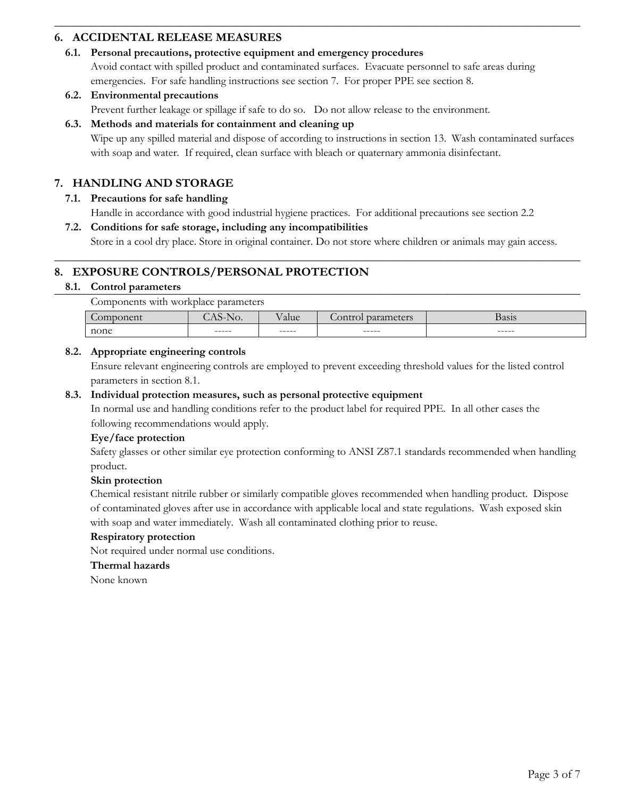# **6. ACCIDENTAL RELEASE MEASURES**

## **6.1. Personal precautions, protective equipment and emergency procedures**

Avoid contact with spilled product and contaminated surfaces. Evacuate personnel to safe areas during emergencies. For safe handling instructions see section 7. For proper PPE see section 8.

\_\_\_\_\_\_\_\_\_\_\_\_\_\_\_\_\_\_\_\_\_\_\_\_\_\_\_\_\_\_\_\_\_\_\_\_\_\_\_\_\_\_\_\_\_\_\_\_\_\_\_\_\_\_\_\_\_\_\_\_\_\_\_\_\_\_\_\_\_\_\_\_\_\_\_\_\_\_\_\_\_\_\_\_\_\_\_

## **6.2. Environmental precautions**

Prevent further leakage or spillage if safe to do so. Do not allow release to the environment.

#### **6.3. Methods and materials for containment and cleaning up**

Wipe up any spilled material and dispose of according to instructions in section 13. Wash contaminated surfaces with soap and water. If required, clean surface with bleach or quaternary ammonia disinfectant.

# **7. HANDLING AND STORAGE**

#### **7.1. Precautions for safe handling**

Handle in accordance with good industrial hygiene practices. For additional precautions see section 2.2

# **7.2. Conditions for safe storage, including any incompatibilities**

Store in a cool dry place. Store in original container. Do not store where children or animals may gain access. \_\_\_\_\_\_\_\_\_\_\_\_\_\_\_\_\_\_\_\_\_\_\_\_\_\_\_\_\_\_\_\_\_\_\_\_\_\_\_\_\_\_\_\_\_\_\_\_\_\_\_\_\_\_\_\_\_\_\_\_\_\_\_\_\_\_\_\_\_\_\_\_\_\_\_\_\_\_\_\_\_\_\_\_\_\_\_

# **8. EXPOSURE CONTROLS/PERSONAL PROTECTION**

# \_\_\_\_\_\_\_\_\_\_\_\_\_\_\_\_\_\_\_\_\_\_\_\_\_\_\_\_\_\_\_\_\_\_\_\_\_\_\_\_\_\_\_\_\_\_\_\_\_\_\_\_\_\_\_\_\_\_\_\_\_\_\_\_\_\_\_\_\_\_\_\_\_\_\_\_\_\_\_\_\_\_\_\_\_\_\_ **8.1. Control parameters**

Components with workplace parameters

| $\sim$<br>$\sim$<br>$\lambda$ rr<br>. | $\ddot{\phantom{0}}$<br>17. | $ -$<br>alue | $\sim$<br>$-1111$ | 0.010<br>рамм |
|---------------------------------------|-----------------------------|--------------|-------------------|---------------|
| none                                  | ------                      | ------       | ------            | ------        |

#### **8.2. Appropriate engineering controls**

Ensure relevant engineering controls are employed to prevent exceeding threshold values for the listed control parameters in section 8.1.

#### **8.3. Individual protection measures, such as personal protective equipment**

In normal use and handling conditions refer to the product label for required PPE. In all other cases the following recommendations would apply.

#### **Eye/face protection**

Safety glasses or other similar eye protection conforming to ANSI Z87.1 standards recommended when handling product.

#### **Skin protection**

Chemical resistant nitrile rubber or similarly compatible gloves recommended when handling product. Dispose of contaminated gloves after use in accordance with applicable local and state regulations. Wash exposed skin with soap and water immediately. Wash all contaminated clothing prior to reuse.

#### **Respiratory protection**

Not required under normal use conditions.

#### **Thermal hazards**

None known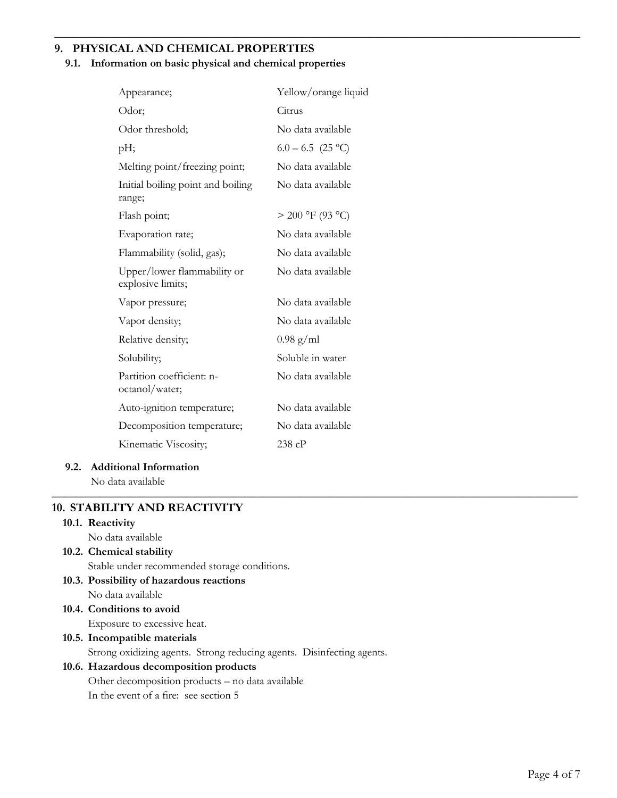# **9. PHYSICAL AND CHEMICAL PROPERTIES**

#### **9.1. Information on basic physical and chemical properties**

\_\_\_\_\_\_\_\_\_\_\_\_\_\_\_\_\_\_\_\_\_\_\_\_\_\_\_\_\_\_\_\_\_\_\_\_\_\_\_\_\_\_\_\_\_\_\_\_\_\_\_\_\_\_\_\_\_\_\_\_\_\_\_\_\_\_\_\_\_\_\_\_\_\_\_\_\_\_\_\_\_\_\_\_\_\_\_

| Appearance;                                      | Yellow/orange liquid |
|--------------------------------------------------|----------------------|
| Odor;                                            | Citrus               |
| Odor threshold;                                  | No data available    |
| pH;                                              | $6.0 - 6.5$ (25 °C)  |
| Melting point/freezing point;                    | No data available    |
| Initial boiling point and boiling<br>range;      | No data available    |
| Flash point;                                     | $> 200$ °F (93 °C)   |
| Evaporation rate;                                | No data available    |
| Flammability (solid, gas);                       | No data available    |
| Upper/lower flammability or<br>explosive limits; | No data available    |
| Vapor pressure;                                  | No data available    |
| Vapor density;                                   | No data available    |
| Relative density;                                | $0.98$ g/ml          |
| Solubility;                                      | Soluble in water     |
| Partition coefficient: n-<br>octanol/water;      | No data available    |
| Auto-ignition temperature;                       | No data available    |
| Decomposition temperature;                       | No data available    |
| Kinematic Viscosity;                             | 238cP                |
|                                                  |                      |

#### **9.2. Additional Information**

No data available \_\_\_\_\_\_\_\_\_\_\_\_\_\_\_\_\_\_\_\_\_\_\_\_\_\_\_\_\_\_\_\_\_\_\_\_\_\_\_\_\_\_\_\_\_\_\_\_\_\_\_\_\_\_\_\_\_\_\_\_\_\_\_\_\_\_\_\_\_\_\_\_\_\_\_\_\_\_\_\_\_\_\_\_\_\_\_

#### **10. STABILITY AND REACTIVITY**

# **10.1. Reactivity**

No data available

**10.2. Chemical stability** 

Stable under recommended storage conditions.

- **10.3. Possibility of hazardous reactions**  No data available
- **10.4. Conditions to avoid**  Exposure to excessive heat.

# **10.5. Incompatible materials**

Strong oxidizing agents. Strong reducing agents. Disinfecting agents.

## **10.6. Hazardous decomposition products**

Other decomposition products – no data available In the event of a fire: see section 5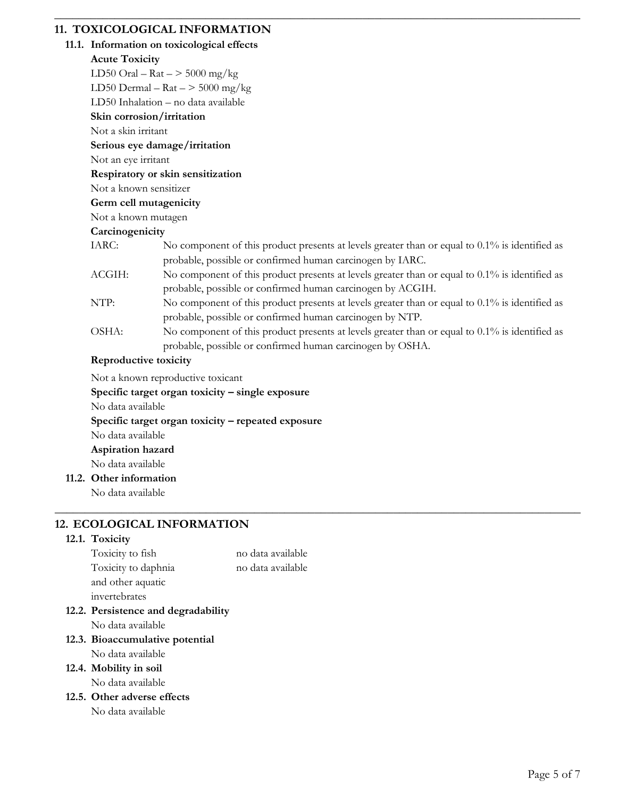# **11. TOXICOLOGICAL INFORMATION**

# **11.1. Information on toxicological effects**

#### **Acute Toxicity**

LD50 Oral –  $\text{Rat}$  –  $>$  5000 mg/kg

LD50 Dermal –  $\text{Rat}$  –  $>$  5000 mg/kg

LD50 Inhalation – no data available

# **Skin corrosion/irritation**

Not a skin irritant

# **Serious eye damage/irritation**

Not an eye irritant

# **Respiratory or skin sensitization**

Not a known sensitizer

## **Germ cell mutagenicity**

Not a known mutagen

# **Carcinogenicity**

IARC: No component of this product presents at levels greater than or equal to 0.1% is identified as probable, possible or confirmed human carcinogen by IARC.

\_\_\_\_\_\_\_\_\_\_\_\_\_\_\_\_\_\_\_\_\_\_\_\_\_\_\_\_\_\_\_\_\_\_\_\_\_\_\_\_\_\_\_\_\_\_\_\_\_\_\_\_\_\_\_\_\_\_\_\_\_\_\_\_\_\_\_\_\_\_\_\_\_\_\_\_\_\_\_\_\_\_\_\_\_\_\_

- ACGIH: No component of this product presents at levels greater than or equal to 0.1% is identified as probable, possible or confirmed human carcinogen by ACGIH.
- NTP: No component of this product presents at levels greater than or equal to 0.1% is identified as probable, possible or confirmed human carcinogen by NTP.
- OSHA: No component of this product presents at levels greater than or equal to 0.1% is identified as probable, possible or confirmed human carcinogen by OSHA.

\_\_\_\_\_\_\_\_\_\_\_\_\_\_\_\_\_\_\_\_\_\_\_\_\_\_\_\_\_\_\_\_\_\_\_\_\_\_\_\_\_\_\_\_\_\_\_\_\_\_\_\_\_\_\_\_\_\_\_\_\_\_\_\_\_\_\_\_\_\_\_\_\_\_\_\_\_\_\_\_\_\_\_\_\_\_\_

# **Reproductive toxicity**

Not a known reproductive toxicant

# **Specific target organ toxicity – single exposure**  No data available **Specific target organ toxicity – repeated exposure**  No data available **Aspiration hazard**  No data available **11.2. Other information**

No data available

# **12. ECOLOGICAL INFORMATION**

# **12.1. Toxicity**

Toxicity to fish no data available Toxicity to daphnia no data available and other aquatic invertebrates **12.2. Persistence and degradability**  No data available **12.3. Bioaccumulative potential**  No data available **12.4. Mobility in soil**  No data available **12.5. Other adverse effects**  No data available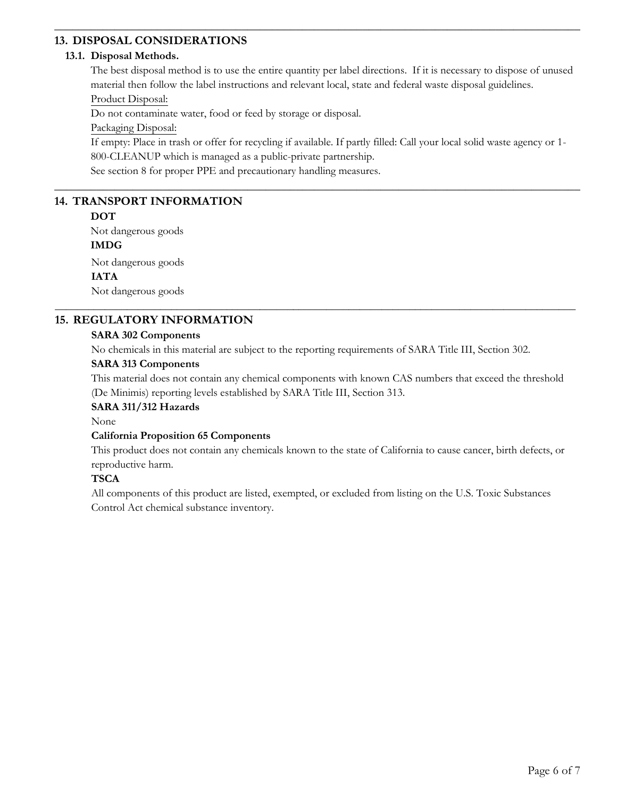# **13. DISPOSAL CONSIDERATIONS**

#### **13.1. Disposal Methods.**

The best disposal method is to use the entire quantity per label directions. If it is necessary to dispose of unused material then follow the label instructions and relevant local, state and federal waste disposal guidelines.

\_\_\_\_\_\_\_\_\_\_\_\_\_\_\_\_\_\_\_\_\_\_\_\_\_\_\_\_\_\_\_\_\_\_\_\_\_\_\_\_\_\_\_\_\_\_\_\_\_\_\_\_\_\_\_\_\_\_\_\_\_\_\_\_\_\_\_\_\_\_\_\_\_\_\_\_\_\_\_\_\_\_\_\_\_\_\_

# Product Disposal:

Do not contaminate water, food or feed by storage or disposal.

Packaging Disposal:

If empty: Place in trash or offer for recycling if available. If partly filled: Call your local solid waste agency or 1- 800-CLEANUP which is managed as a public-private partnership.

\_\_\_\_\_\_\_\_\_\_\_\_\_\_\_\_\_\_\_\_\_\_\_\_\_\_\_\_\_\_\_\_\_\_\_\_\_\_\_\_\_\_\_\_\_\_\_\_\_\_\_\_\_\_\_\_\_\_\_\_\_\_\_\_\_\_\_\_\_\_\_\_\_\_\_\_\_\_\_\_\_\_\_\_\_\_\_

See section 8 for proper PPE and precautionary handling measures.

# **14. TRANSPORT INFORMATION**

## **DOT**

Not dangerous goods **IMDG**  Not dangerous goods **IATA** 

Not dangerous goods

# **15. REGULATORY INFORMATION**

# **SARA 302 Components**

No chemicals in this material are subject to the reporting requirements of SARA Title III, Section 302.

\_\_\_\_\_\_\_\_\_\_\_\_\_\_\_\_\_\_\_\_\_\_\_\_\_\_\_\_\_\_\_\_\_\_\_\_\_\_\_\_\_\_\_\_\_\_\_\_\_\_\_\_\_\_\_\_\_\_\_\_\_\_\_\_\_\_\_\_\_\_\_\_\_\_\_\_\_\_\_\_\_\_\_\_\_\_\_\_\_\_\_\_\_\_

# **SARA 313 Components**

This material does not contain any chemical components with known CAS numbers that exceed the threshold (De Minimis) reporting levels established by SARA Title III, Section 313.

# **SARA 311/312 Hazards**

None

# **California Proposition 65 Components**

This product does not contain any chemicals known to the state of California to cause cancer, birth defects, or reproductive harm.

# **TSCA**

All components of this product are listed, exempted, or excluded from listing on the U.S. Toxic Substances Control Act chemical substance inventory.